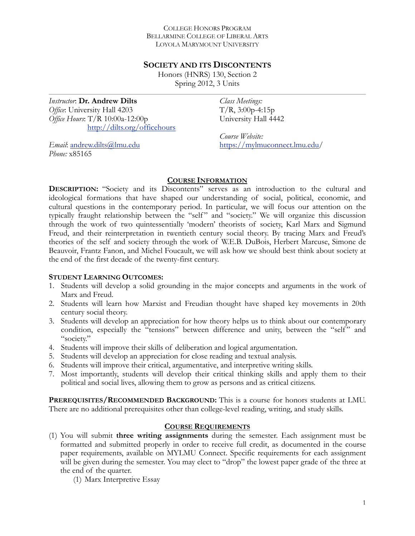#### COLLEGE HONORS PROGRAM BELLARMINE COLLEGE OF LIBERAL ARTS LOYOLA MARYMOUNT UNIVERSITY

#### **SOCIETY AND ITS DISCONTENTS**

Honors (HNRS) 130, Section 2 Spring 2012, 3 Units

*Instructor*: **Dr. Andrew Dilts** *Office*: University Hall 4203 *Office Hours*: T/R 10:00a-12:00p <http://dilts.org/officehours> *Class Meetings:*   $T/R$ , 3:00p-4:15p University Hall 4442

*Course Website:*  [https://mylmuconnect.lmu.edu/](https://mylmuconnect.lmu.edu)

*Email*: [andrew.dilts@lmu.edu](mailto:adilts@lmu.edu) *Phone:* x85165

#### **COURSE INFORMATION**

**DESCRIPTION:** "Society and its Discontents" serves as an introduction to the cultural and ideological formations that have shaped our understanding of social, political, economic, and cultural questions in the contemporary period. In particular, we will focus our attention on the typically fraught relationship between the "self" and "society." We will organize this discussion through the work of two quintessentially 'modern' theorists of society, Karl Marx and Sigmund Freud, and their reinterpretation in twentieth century social theory. By tracing Marx and Freud's theories of the self and society through the work of W.E.B. DuBois, Herbert Marcuse, Simone de Beauvoir, Frantz Fanon, and Michel Foucault, we will ask how we should best think about society at the end of the first decade of the twenty-first century.

#### **STUDENT LEARNING OUTCOMES:**

- 1. Students will develop a solid grounding in the major concepts and arguments in the work of Marx and Freud.
- 2. Students will learn how Marxist and Freudian thought have shaped key movements in 20th century social theory.
- 3. Students will develop an appreciation for how theory helps us to think about our contemporary condition, especially the "tensions" between difference and unity, between the "self" and "society."
- 4. Students will improve their skills of deliberation and logical argumentation.
- 5. Students will develop an appreciation for close reading and textual analysis.
- 6. Students will improve their critical, argumentative, and interpretive writing skills.
- 7. Most importantly, students will develop their critical thinking skills and apply them to their political and social lives, allowing them to grow as persons and as critical citizens.

**PREREQUISITES/RECOMMENDED BACKGROUND:** This is a course for honors students at LMU. There are no additional prerequisites other than college-level reading, writing, and study skills.

#### **COURSE REQUIREMENTS**

(1) You will submit **three writing assignments** during the semester. Each assignment must be formatted and submitted properly in order to receive full credit, as documented in the course paper requirements, available on MYLMU Connect. Specific requirements for each assignment will be given during the semester. You may elect to "drop" the lowest paper grade of the three at the end of the quarter.

(1) Marx Interpretive Essay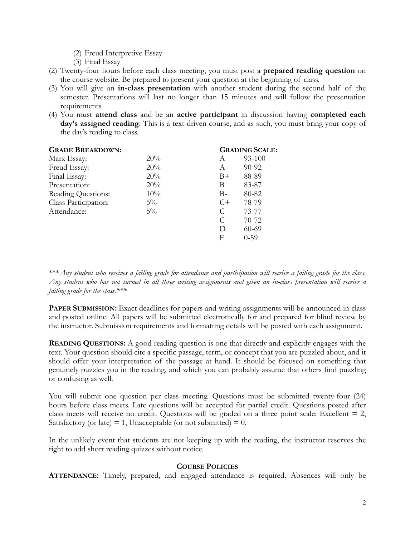- (2) Freud Interpretive Essay
- (3) Final Essay
- (2) Twenty-four hours before each class meeting, you must post a **prepared reading question** on the course website. Be prepared to present your question at the beginning of class.
- (3) You will give an **in-class presentation** with another student during the second half of the semester. Presentations will last no longer than 15 minutes and will follow the presentation requirements.
- (4) You must **attend class** and be an **active participant** in discussion having **completed each day's assigned reading**. This is a text-driven course, and as such, you must bring your copy of the day's reading to class.

|       |       | <b>GRADING SCALE:</b> |
|-------|-------|-----------------------|
| 20%   | A     | 93-100                |
| 20%   | $A-$  | 90-92                 |
| 20%   | $B+$  | 88-89                 |
| 20%   | В     | 83-87                 |
| 10%   | $B -$ | 80-82                 |
| $5\%$ | $C+$  | 78-79                 |
| $5\%$ | C     | 73-77                 |
|       | $C$ - | $70 - 72$             |
|       | D     | 60-69                 |
|       | F     | $0 - 59$              |
|       |       |                       |

\*\*\**Any student who receives a failing grade for attendance and participation will receive a failing grade for the class*. *Any student who has not turned in all three writing assignments and given an in-class presentation will receive a failing grade for the class.\*\*\**

**PAPER SUBMISSION:** Exact deadlines for papers and writing assignments will be announced in class and posted online. All papers will be submitted electronically for and prepared for blind review by the instructor. Submission requirements and formatting details will be posted with each assignment.

**READING QUESTIONS:** A good reading question is one that directly and explicitly engages with the text. Your question should cite a specific passage, term, or concept that you are puzzled about, and it should offer your interpretation of the passage at hand. It should be focused on something that genuinely puzzles you in the reading, and which you can probably assume that others find puzzling or confusing as well.

You will submit one question per class meeting. Questions must be submitted twenty-four (24) hours before class meets. Late questions will be accepted for partial credit. Questions posted after class meets will receive no credit. Questions will be graded on a three point scale: Excellent  $= 2$ , Satisfactory (or late) = 1, Unacceptable (or not submitted) =  $0$ .

In the unlikely event that students are not keeping up with the reading, the instructor reserves the right to add short reading quizzes without notice.

#### **COURSE POLICIES**

**ATTENDANCE:** Timely, prepared, and engaged attendance is required. Absences will only be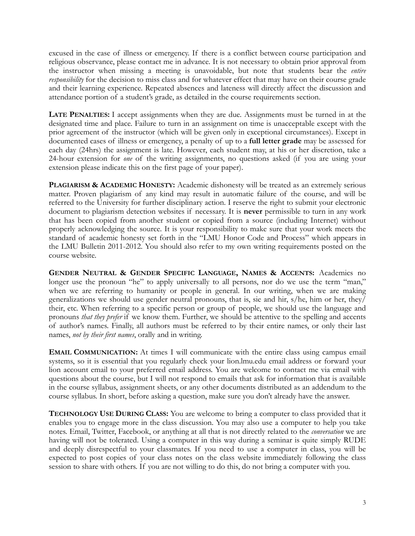excused in the case of illness or emergency. If there is a conflict between course participation and religious observance, please contact me in advance. It is not necessary to obtain prior approval from the instructor when missing a meeting is unavoidable, but note that students bear the *entire responsibility* for the decision to miss class and for whatever effect that may have on their course grade and their learning experience. Repeated absences and lateness will directly affect the discussion and attendance portion of a student's grade, as detailed in the course requirements section.

**LATE PENALTIES:** I accept assignments when they are due. Assignments must be turned in at the designated time and place. Failure to turn in an assignment on time is unacceptable except with the prior agreement of the instructor (which will be given only in exceptional circumstances). Except in documented cases of illness or emergency, a penalty of up to a **full letter grade** may be assessed for each day (24hrs) the assignment is late. However, each student may, at his or her discretion, take a 24-hour extension for *one* of the writing assignments, no questions asked (if you are using your extension please indicate this on the first page of your paper).

**PLAGIARISM & ACADEMIC HONESTY:** Academic dishonesty will be treated as an extremely serious matter. Proven plagiarism of any kind may result in automatic failure of the course, and will be referred to the University for further disciplinary action. I reserve the right to submit your electronic document to plagiarism detection websites if necessary. It is **never** permissible to turn in any work that has been copied from another student or copied from a source (including Internet) without properly acknowledging the source. It is your responsibility to make sure that your work meets the standard of academic honesty set forth in the "LMU Honor Code and Process" which appears in the LMU Bulletin 2011-2012. You should also refer to my own writing requirements posted on the course website.

**GENDER NEUTRAL & GENDER SPECIFIC LANGUAGE, NAMES & ACCENTS:** Academics no longer use the pronoun "he" to apply universally to all persons, nor do we use the term "man," when we are referring to humanity or people in general. In our writing, when we are making generalizations we should use gender neutral pronouns, that is, sie and hir, s/he, him or her, they/ their, etc. When referring to a specific person or group of people, we should use the language and pronouns *that they prefer* if we know them. Further, we should be attentive to the spelling and accents of author's names. Finally, all authors must be referred to by their entire names, or only their last names, *not by their first names*, orally and in writing.

**EMAIL COMMUNICATION:** At times I will communicate with the entire class using campus email systems, so it is essential that you regularly check your lion.lmu.edu email address or forward your lion account email to your preferred email address. You are welcome to contact me via email with questions about the course, but I will not respond to emails that ask for information that is available in the course syllabus, assignment sheets, or any other documents distributed as an addendum to the course syllabus. In short, before asking a question, make sure you don't already have the answer.

**TECHNOLOGY USE DURING CLASS:** You are welcome to bring a computer to class provided that it enables you to engage more in the class discussion. You may also use a computer to help you take notes. Email, Twitter, Facebook, or anything at all that is not directly related to the *conversation* we are having will not be tolerated. Using a computer in this way during a seminar is quite simply RUDE and deeply disrespectful to your classmates. If you need to use a computer in class, you will be expected to post copies of your class notes on the class website immediately following the class session to share with others. If you are not willing to do this, do not bring a computer with you.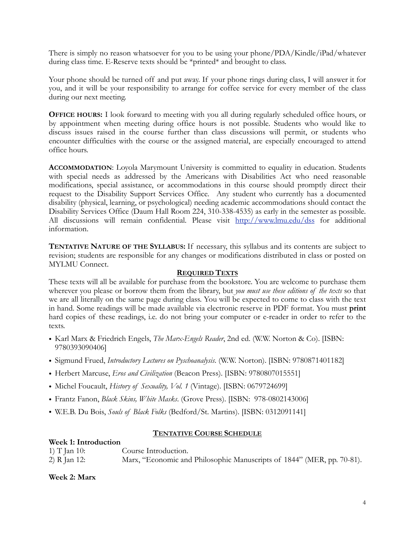There is simply no reason whatsoever for you to be using your phone/PDA/Kindle/iPad/whatever during class time. E-Reserve texts should be \*printed\* and brought to class.

Your phone should be turned off and put away. If your phone rings during class, I will answer it for you, and it will be your responsibility to arrange for coffee service for every member of the class during our next meeting.

**OFFICE HOURS:** I look forward to meeting with you all during regularly scheduled office hours, or by appointment when meeting during office hours is not possible. Students who would like to discuss issues raised in the course further than class discussions will permit, or students who encounter difficulties with the course or the assigned material, are especially encouraged to attend office hours.

**ACCOMMODATION**: Loyola Marymount University is committed to equality in education. Students with special needs as addressed by the Americans with Disabilities Act who need reasonable modifications, special assistance, or accommodations in this course should promptly direct their request to the Disability Support Services Office. Any student who currently has a documented disability (physical, learning, or psychological) needing academic accommodations should contact the Disability Services Office (Daum Hall Room 224, 310-338-4535) as early in the semester as possible. All discussions will remain confidential. Please visit <http://www.lmu.edu/dss> for additional information.

**TENTATIVE NATURE OF THE SYLLABUS:** If necessary, this syllabus and its contents are subject to revision; students are responsible for any changes or modifications distributed in class or posted on MYLMU Connect.

#### **REQUIRED TEXTS**

These texts will all be available for purchase from the bookstore. You are welcome to purchase them wherever you please or borrow them from the library, but *you must use these editions of the texts* so that we are all literally on the same page during class. You will be expected to come to class with the text in hand. Some readings will be made available via electronic reserve in PDF format. You must **print** hard copies of these readings, i.e. do not bring your computer or e-reader in order to refer to the texts.

- Karl Marx & Friedrich Engels, *The Marx-Engels Reader*, 2nd ed. (W.W. Norton & Co). [ISBN: 9780393090406]
- Sigmund Frued, *Introductory Lectures on Pyschoanalysis*. (W.W. Norton). [ISBN: 9780871401182]
- Herbert Marcuse, *Eros and Civilization* (Beacon Press). [ISBN: 9780807015551]
- Michel Foucault, *History of Sexuality, Vol. 1* (Vintage). [ISBN: 0679724699]
- Frantz Fanon, *Black Skins, White Masks*. (Grove Press). [ISBN: 978-0802143006]
- W.E.B. Du Bois, *Souls of Black Folks* (Bedford/St. Martins). [ISBN: 0312091141]

## **TENTATIVE COURSE SCHEDULE**

| Week 1: Introduction |                                                                        |
|----------------------|------------------------------------------------------------------------|
| 1) T Jan 10:         | Course Introduction.                                                   |
| 2) R Jan 12:         | Marx, "Economic and Philosophic Manuscripts of 1844" (MER, pp. 70-81). |

**Week 2: Marx**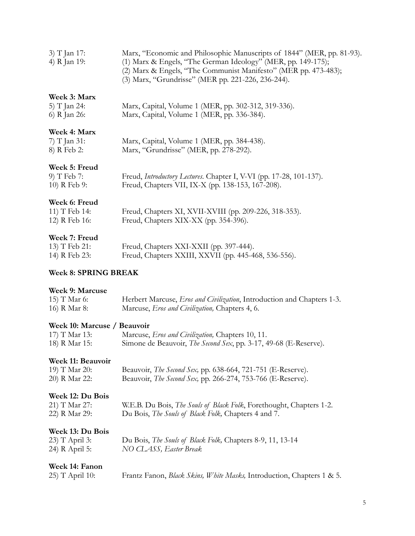| 3) T Jan 17: | Marx, "Economic and Philosophic Manuscripts of 1844" (MER, pp. 81-93). |
|--------------|------------------------------------------------------------------------|
| 4) R Jan 19: | (1) Marx & Engels, "The German Ideology" (MER, pp. 149-175);           |
|              | (2) Marx & Engels, "The Communist Manifesto" (MER pp. 473-483);        |
|              | (3) Marx, "Grundrisse" (MER pp. 221-226, 236-244).                     |

### **Week 3: Marx**

| 5) T Jan 24: | Marx, Capital, Volume 1 (MER, pp. 302-312, 319-336). |
|--------------|------------------------------------------------------|
| 6) R Jan 26: | Marx, Capital, Volume 1 (MER, pp. 336-384).          |

# **Week 4: Marx**

| 7) T Jan 31: | Marx, Capital, Volume 1 (MER, pp. 384-438). |
|--------------|---------------------------------------------|
| 8) R Feb 2:  | Marx, "Grundrisse" (MER, pp. 278-292).      |

### **Week 5: Freud**

| 9) T Feb 7:  | Freud, Introductory Lectures. Chapter I, V-VI (pp. 17-28, 101-137). |
|--------------|---------------------------------------------------------------------|
| 10) R Feb 9: | Freud, Chapters VII, IX-X (pp. 138-153, 167-208).                   |

### **Week 6: Freud**

| 11) T Feb 14: | Freud, Chapters XI, XVII-XVIII (pp. 209-226, 318-353). |
|---------------|--------------------------------------------------------|
| 12) R Feb 16: | Freud, Chapters XIX-XX (pp. 354-396).                  |

## **Week 7: Freud**

| 13) T Feb 21: | Freud, Chapters XXI-XXII (pp. 397-444).              |
|---------------|------------------------------------------------------|
| 14) R Feb 23: | Freud, Chapters XXIII, XXVII (pp. 445-468, 536-556). |

# **Week 8: SPRING BREAK**

#### **Week 9: Marcuse**

| 15) T Mar 6: | Herbert Marcuse, <i>Eros and Civilization</i> , Introduction and Chapters 1-3. |
|--------------|--------------------------------------------------------------------------------|
| 16) R Mar 8: | Marcuse, <i>Eros and Civilization</i> , Chapters 4, 6.                         |

# **Week 10: Marcuse / Beauvoir**

| 17) T Mar 13: | Marcuse, <i>Eros and Civilization</i> , Chapters 10, 11.                 |
|---------------|--------------------------------------------------------------------------|
| 18) R Mar 15: | Simone de Beauvoir, <i>The Second Sex</i> , pp. 3-17, 49-68 (E-Reserve). |

## **Week 11: Beauvoir**

| 19) T Mar 20: | Beauvoir, <i>The Second Sex</i> , pp. 638-664, 721-751 (E-Reserve). |  |  |
|---------------|---------------------------------------------------------------------|--|--|
| 20) R Mar 22: | Beauvoir, <i>The Second Sex</i> , pp. 266-274, 753-766 (E-Reserve). |  |  |

## **Week 12: Du Bois**

| 21) T Mar 27: | W.E.B. Du Bois, <i>The Souls of Black Folk</i> , Forethought, Chapters 1-2. |
|---------------|-----------------------------------------------------------------------------|
| 22) R Mar 29: | Du Bois, <i>The Souls of Black Folk</i> , Chapters 4 and 7.                 |

# **Week 13: Du Bois**

| 23) T April 3: | Du Bois, The Souls of Black Folk, Chapters 8-9, 11, 13-14 |
|----------------|-----------------------------------------------------------|
| 24) R April 5: | NO CLASS, Easter Break                                    |

## **Week 14: Fanon**

| 25) T April 10: | Frantz Fanon, Black Skins, White Masks, Introduction, Chapters 1 & 5. |  |
|-----------------|-----------------------------------------------------------------------|--|